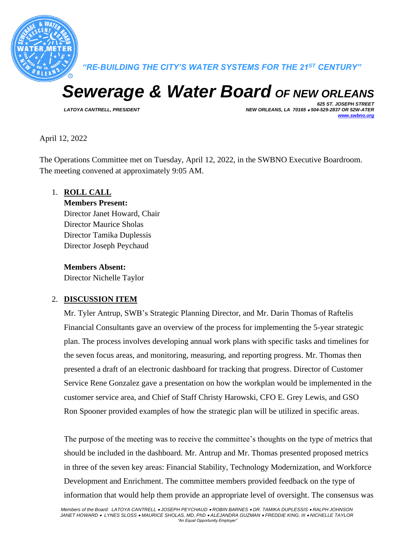

*"RE-BUILDING THE CITY'S WATER SYSTEMS FOR THE 21ST CENTURY"*

# *Sewerage & Water Board OF NEW ORLEANS*

*625 ST. JOSEPH STREET LATOYA CANTRELL, PRESIDENT NEW ORLEANS, LA 70165* • *504-529-2837 OR 52W-ATER [www.swbno.org](http://www.swbno.org/)*

April 12, 2022

The Operations Committee met on Tuesday, April 12, 2022, in the SWBNO Executive Boardroom. The meeting convened at approximately 9:05 AM.

1. **ROLL CALL**

#### **Members Present:**

Director Janet Howard, Chair Director Maurice Sholas Director Tamika Duplessis Director Joseph Peychaud

**Members Absent:**

Director Nichelle Taylor

## 2. **DISCUSSION ITEM**

Mr. Tyler Antrup, SWB's Strategic Planning Director, and Mr. Darin Thomas of Raftelis Financial Consultants gave an overview of the process for implementing the 5-year strategic plan. The process involves developing annual work plans with specific tasks and timelines for the seven focus areas, and monitoring, measuring, and reporting progress. Mr. Thomas then presented a draft of an electronic dashboard for tracking that progress. Director of Customer Service Rene Gonzalez gave a presentation on how the workplan would be implemented in the customer service area, and Chief of Staff Christy Harowski, CFO E. Grey Lewis, and GSO Ron Spooner provided examples of how the strategic plan will be utilized in specific areas.

The purpose of the meeting was to receive the committee's thoughts on the type of metrics that should be included in the dashboard. Mr. Antrup and Mr. Thomas presented proposed metrics in three of the seven key areas: Financial Stability, Technology Modernization, and Workforce Development and Enrichment. The committee members provided feedback on the type of information that would help them provide an appropriate level of oversight. The consensus was